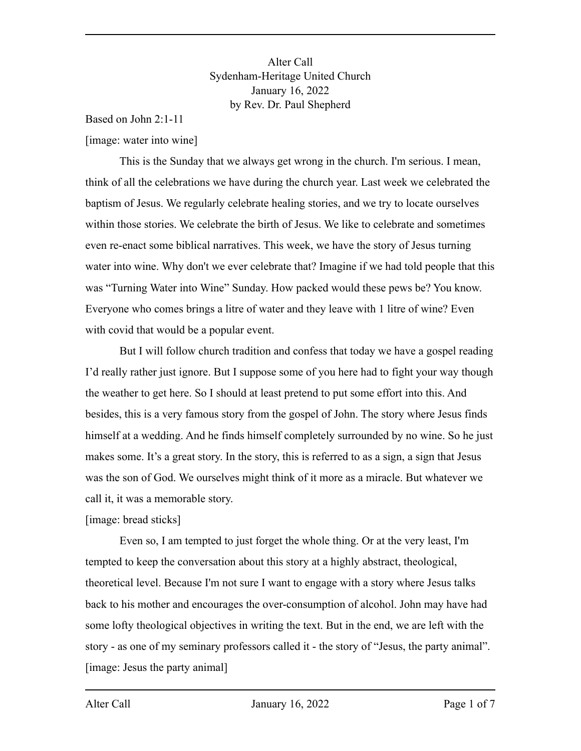Alter Call Sydenham-Heritage United Church January 16, 2022 by Rev. Dr. Paul Shepherd

Based on John 2:1-11 [image: water into wine]

This is the Sunday that we always get wrong in the church. I'm serious. I mean, think of all the celebrations we have during the church year. Last week we celebrated the baptism of Jesus. We regularly celebrate healing stories, and we try to locate ourselves within those stories. We celebrate the birth of Jesus. We like to celebrate and sometimes even re-enact some biblical narratives. This week, we have the story of Jesus turning water into wine. Why don't we ever celebrate that? Imagine if we had told people that this was "Turning Water into Wine" Sunday. How packed would these pews be? You know. Everyone who comes brings a litre of water and they leave with 1 litre of wine? Even with covid that would be a popular event.

But I will follow church tradition and confess that today we have a gospel reading I'd really rather just ignore. But I suppose some of you here had to fight your way though the weather to get here. So I should at least pretend to put some effort into this. And besides, this is a very famous story from the gospel of John. The story where Jesus finds himself at a wedding. And he finds himself completely surrounded by no wine. So he just makes some. It's a great story. In the story, this is referred to as a sign, a sign that Jesus was the son of God. We ourselves might think of it more as a miracle. But whatever we call it, it was a memorable story.

# [image: bread sticks]

Even so, I am tempted to just forget the whole thing. Or at the very least, I'm tempted to keep the conversation about this story at a highly abstract, theological, theoretical level. Because I'm not sure I want to engage with a story where Jesus talks back to his mother and encourages the over-consumption of alcohol. John may have had some lofty theological objectives in writing the text. But in the end, we are left with the story - as one of my seminary professors called it - the story of "Jesus, the party animal". [image: Jesus the party animal]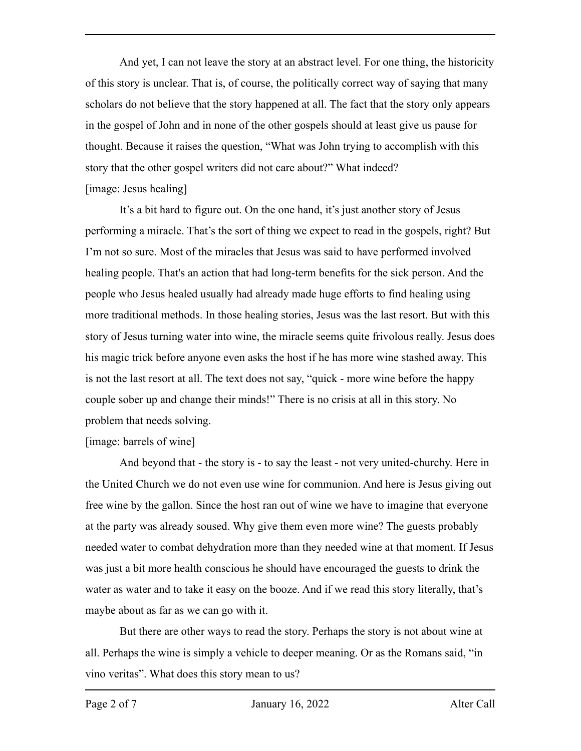And yet, I can not leave the story at an abstract level. For one thing, the historicity of this story is unclear. That is, of course, the politically correct way of saying that many scholars do not believe that the story happened at all. The fact that the story only appears in the gospel of John and in none of the other gospels should at least give us pause for thought. Because it raises the question, "What was John trying to accomplish with this story that the other gospel writers did not care about?" What indeed? [image: Jesus healing]

It's a bit hard to figure out. On the one hand, it's just another story of Jesus performing a miracle. That's the sort of thing we expect to read in the gospels, right? But I'm not so sure. Most of the miracles that Jesus was said to have performed involved healing people. That's an action that had long-term benefits for the sick person. And the people who Jesus healed usually had already made huge efforts to find healing using more traditional methods. In those healing stories, Jesus was the last resort. But with this story of Jesus turning water into wine, the miracle seems quite frivolous really. Jesus does his magic trick before anyone even asks the host if he has more wine stashed away. This is not the last resort at all. The text does not say, "quick - more wine before the happy couple sober up and change their minds!" There is no crisis at all in this story. No problem that needs solving.

# [image: barrels of wine]

And beyond that - the story is - to say the least - not very united-churchy. Here in the United Church we do not even use wine for communion. And here is Jesus giving out free wine by the gallon. Since the host ran out of wine we have to imagine that everyone at the party was already soused. Why give them even more wine? The guests probably needed water to combat dehydration more than they needed wine at that moment. If Jesus was just a bit more health conscious he should have encouraged the guests to drink the water as water and to take it easy on the booze. And if we read this story literally, that's maybe about as far as we can go with it.

But there are other ways to read the story. Perhaps the story is not about wine at all. Perhaps the wine is simply a vehicle to deeper meaning. Or as the Romans said, "in vino veritas". What does this story mean to us?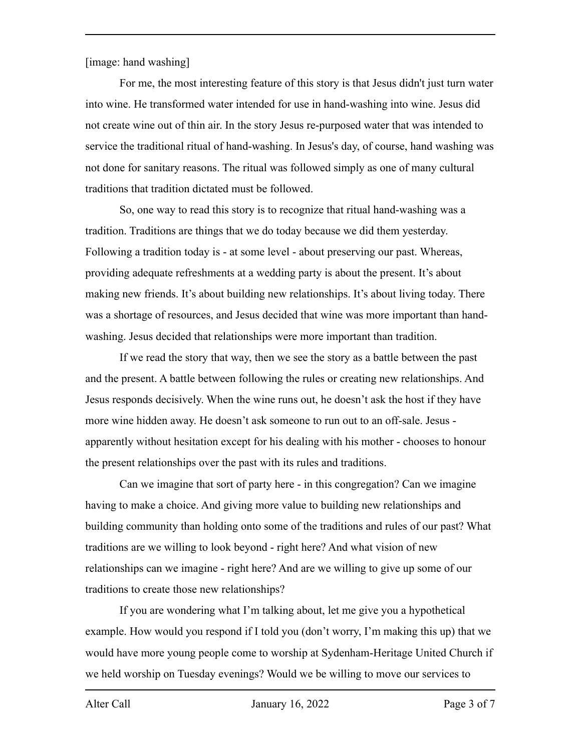[image: hand washing]

For me, the most interesting feature of this story is that Jesus didn't just turn water into wine. He transformed water intended for use in hand-washing into wine. Jesus did not create wine out of thin air. In the story Jesus re-purposed water that was intended to service the traditional ritual of hand-washing. In Jesus's day, of course, hand washing was not done for sanitary reasons. The ritual was followed simply as one of many cultural traditions that tradition dictated must be followed.

So, one way to read this story is to recognize that ritual hand-washing was a tradition. Traditions are things that we do today because we did them yesterday. Following a tradition today is - at some level - about preserving our past. Whereas, providing adequate refreshments at a wedding party is about the present. It's about making new friends. It's about building new relationships. It's about living today. There was a shortage of resources, and Jesus decided that wine was more important than handwashing. Jesus decided that relationships were more important than tradition.

If we read the story that way, then we see the story as a battle between the past and the present. A battle between following the rules or creating new relationships. And Jesus responds decisively. When the wine runs out, he doesn't ask the host if they have more wine hidden away. He doesn't ask someone to run out to an off-sale. Jesus apparently without hesitation except for his dealing with his mother - chooses to honour the present relationships over the past with its rules and traditions.

Can we imagine that sort of party here - in this congregation? Can we imagine having to make a choice. And giving more value to building new relationships and building community than holding onto some of the traditions and rules of our past? What traditions are we willing to look beyond - right here? And what vision of new relationships can we imagine - right here? And are we willing to give up some of our traditions to create those new relationships?

If you are wondering what I'm talking about, let me give you a hypothetical example. How would you respond if I told you (don't worry, I'm making this up) that we would have more young people come to worship at Sydenham-Heritage United Church if we held worship on Tuesday evenings? Would we be willing to move our services to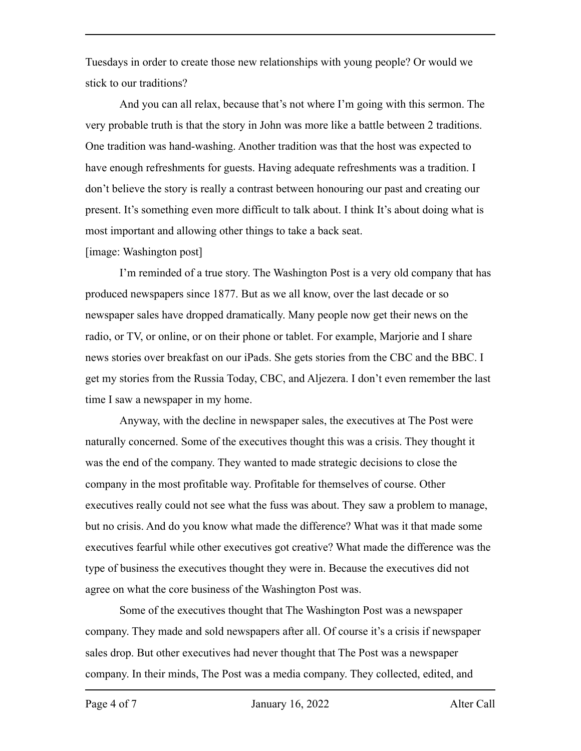Tuesdays in order to create those new relationships with young people? Or would we stick to our traditions?

And you can all relax, because that's not where I'm going with this sermon. The very probable truth is that the story in John was more like a battle between 2 traditions. One tradition was hand-washing. Another tradition was that the host was expected to have enough refreshments for guests. Having adequate refreshments was a tradition. I don't believe the story is really a contrast between honouring our past and creating our present. It's something even more difficult to talk about. I think It's about doing what is most important and allowing other things to take a back seat.

## [image: Washington post]

I'm reminded of a true story. The Washington Post is a very old company that has produced newspapers since 1877. But as we all know, over the last decade or so newspaper sales have dropped dramatically. Many people now get their news on the radio, or TV, or online, or on their phone or tablet. For example, Marjorie and I share news stories over breakfast on our iPads. She gets stories from the CBC and the BBC. I get my stories from the Russia Today, CBC, and Aljezera. I don't even remember the last time I saw a newspaper in my home.

Anyway, with the decline in newspaper sales, the executives at The Post were naturally concerned. Some of the executives thought this was a crisis. They thought it was the end of the company. They wanted to made strategic decisions to close the company in the most profitable way. Profitable for themselves of course. Other executives really could not see what the fuss was about. They saw a problem to manage, but no crisis. And do you know what made the difference? What was it that made some executives fearful while other executives got creative? What made the difference was the type of business the executives thought they were in. Because the executives did not agree on what the core business of the Washington Post was.

Some of the executives thought that The Washington Post was a newspaper company. They made and sold newspapers after all. Of course it's a crisis if newspaper sales drop. But other executives had never thought that The Post was a newspaper company. In their minds, The Post was a media company. They collected, edited, and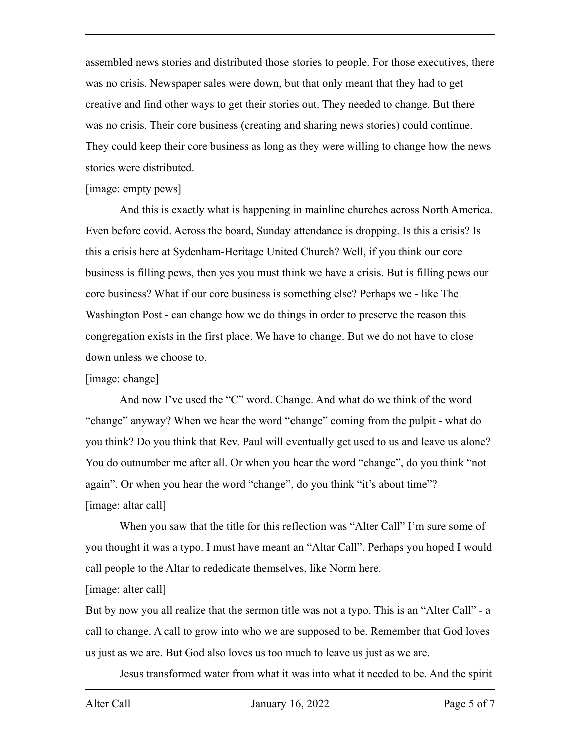assembled news stories and distributed those stories to people. For those executives, there was no crisis. Newspaper sales were down, but that only meant that they had to get creative and find other ways to get their stories out. They needed to change. But there was no crisis. Their core business (creating and sharing news stories) could continue. They could keep their core business as long as they were willing to change how the news stories were distributed.

## [image: empty pews]

And this is exactly what is happening in mainline churches across North America. Even before covid. Across the board, Sunday attendance is dropping. Is this a crisis? Is this a crisis here at Sydenham-Heritage United Church? Well, if you think our core business is filling pews, then yes you must think we have a crisis. But is filling pews our core business? What if our core business is something else? Perhaps we - like The Washington Post - can change how we do things in order to preserve the reason this congregation exists in the first place. We have to change. But we do not have to close down unless we choose to.

# [image: change]

And now I've used the "C" word. Change. And what do we think of the word "change" anyway? When we hear the word "change" coming from the pulpit - what do you think? Do you think that Rev. Paul will eventually get used to us and leave us alone? You do outnumber me after all. Or when you hear the word "change", do you think "not again". Or when you hear the word "change", do you think "it's about time"? [image: altar call]

When you saw that the title for this reflection was "Alter Call" I'm sure some of you thought it was a typo. I must have meant an "Altar Call". Perhaps you hoped I would call people to the Altar to rededicate themselves, like Norm here.

# [image: alter call]

But by now you all realize that the sermon title was not a typo. This is an "Alter Call" - a call to change. A call to grow into who we are supposed to be. Remember that God loves us just as we are. But God also loves us too much to leave us just as we are.

Jesus transformed water from what it was into what it needed to be. And the spirit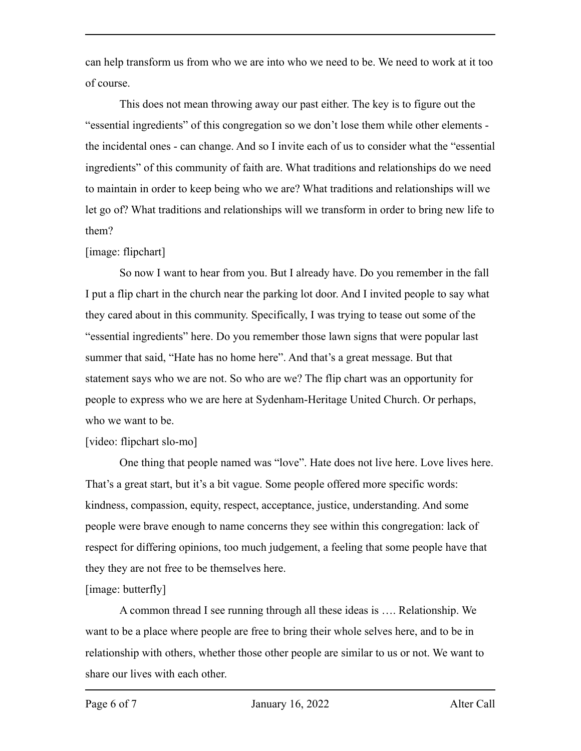can help transform us from who we are into who we need to be. We need to work at it too of course.

This does not mean throwing away our past either. The key is to figure out the "essential ingredients" of this congregation so we don't lose them while other elements the incidental ones - can change. And so I invite each of us to consider what the "essential ingredients" of this community of faith are. What traditions and relationships do we need to maintain in order to keep being who we are? What traditions and relationships will we let go of? What traditions and relationships will we transform in order to bring new life to them?

## [image: flipchart]

So now I want to hear from you. But I already have. Do you remember in the fall I put a flip chart in the church near the parking lot door. And I invited people to say what they cared about in this community. Specifically, I was trying to tease out some of the "essential ingredients" here. Do you remember those lawn signs that were popular last summer that said, "Hate has no home here". And that's a great message. But that statement says who we are not. So who are we? The flip chart was an opportunity for people to express who we are here at Sydenham-Heritage United Church. Or perhaps, who we want to be.

# [video: flipchart slo-mo]

One thing that people named was "love". Hate does not live here. Love lives here. That's a great start, but it's a bit vague. Some people offered more specific words: kindness, compassion, equity, respect, acceptance, justice, understanding. And some people were brave enough to name concerns they see within this congregation: lack of respect for differing opinions, too much judgement, a feeling that some people have that they they are not free to be themselves here.

# [image: butterfly]

A common thread I see running through all these ideas is …. Relationship. We want to be a place where people are free to bring their whole selves here, and to be in relationship with others, whether those other people are similar to us or not. We want to share our lives with each other.